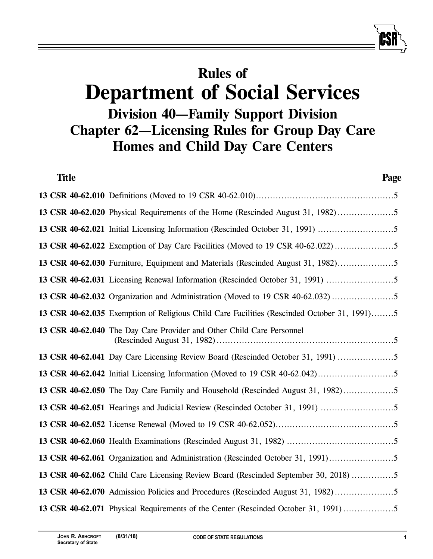# **Rules of Department of Social Services Division 40—Family Support Division Chapter 62—Licensing Rules for Group Day Care Homes and Child Day Care Centers**

| <b>Title</b> | Page                                                                                        |
|--------------|---------------------------------------------------------------------------------------------|
|              |                                                                                             |
|              | 13 CSR 40-62.020 Physical Requirements of the Home (Rescinded August 31, 1982)5             |
|              |                                                                                             |
|              | 13 CSR 40-62.022 Exemption of Day Care Facilities (Moved to 19 CSR 40-62.022)               |
|              | 13 CSR 40-62.030 Furniture, Equipment and Materials (Rescinded August 31, 1982)             |
|              |                                                                                             |
|              | 13 CSR 40-62.032 Organization and Administration (Moved to 19 CSR 40-62.032)                |
|              | 13 CSR 40-62.035 Exemption of Religious Child Care Facilities (Rescinded October 31, 1991)5 |
|              | 13 CSR 40-62.040 The Day Care Provider and Other Child Care Personnel                       |
|              | 13 CSR 40-62.041 Day Care Licensing Review Board (Rescinded October 31, 1991) 5             |
|              |                                                                                             |
|              | 13 CSR 40-62.050 The Day Care Family and Household (Rescinded August 31, 1982)              |
|              |                                                                                             |
|              |                                                                                             |
|              |                                                                                             |
|              | 13 CSR 40-62.061 Organization and Administration (Rescinded October 31, 1991)5              |
|              | 13 CSR 40-62.062 Child Care Licensing Review Board (Rescinded September 30, 2018) 5         |
|              | 13 CSR 40-62.070 Admission Policies and Procedures (Rescinded August 31, 1982)              |
|              | 13 CSR 40-62.071 Physical Requirements of the Center (Rescinded October 31, 1991)           |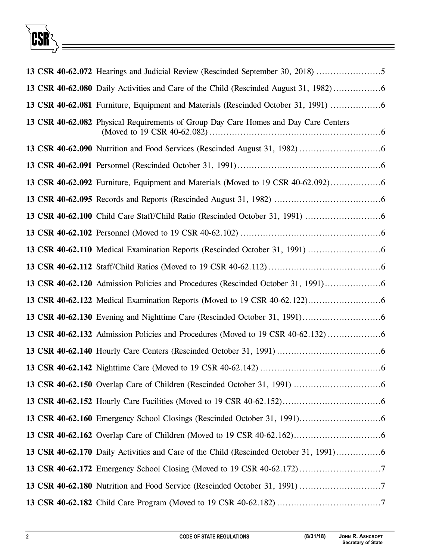

|  | 13 CSR 40-62.072 Hearings and Judicial Review (Rescinded September 30, 2018) 5       |
|--|--------------------------------------------------------------------------------------|
|  | 13 CSR 40-62.080 Daily Activities and Care of the Child (Rescinded August 31, 1982)  |
|  | 13 CSR 40-62.081 Furniture, Equipment and Materials (Rescinded October 31, 1991)     |
|  | 13 CSR 40-62.082 Physical Requirements of Group Day Care Homes and Day Care Centers  |
|  |                                                                                      |
|  |                                                                                      |
|  | 13 CSR 40-62.092 Furniture, Equipment and Materials (Moved to 19 CSR 40-62.092)      |
|  |                                                                                      |
|  |                                                                                      |
|  |                                                                                      |
|  |                                                                                      |
|  |                                                                                      |
|  | 13 CSR 40-62.120 Admission Policies and Procedures (Rescinded October 31, 1991)      |
|  |                                                                                      |
|  |                                                                                      |
|  | 13 CSR 40-62.132 Admission Policies and Procedures (Moved to 19 CSR 40-62.132)       |
|  |                                                                                      |
|  |                                                                                      |
|  |                                                                                      |
|  |                                                                                      |
|  |                                                                                      |
|  |                                                                                      |
|  | 13 CSR 40-62.170 Daily Activities and Care of the Child (Rescinded October 31, 1991) |
|  |                                                                                      |
|  |                                                                                      |
|  |                                                                                      |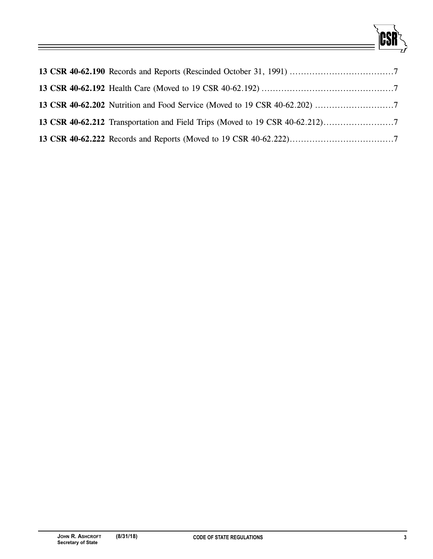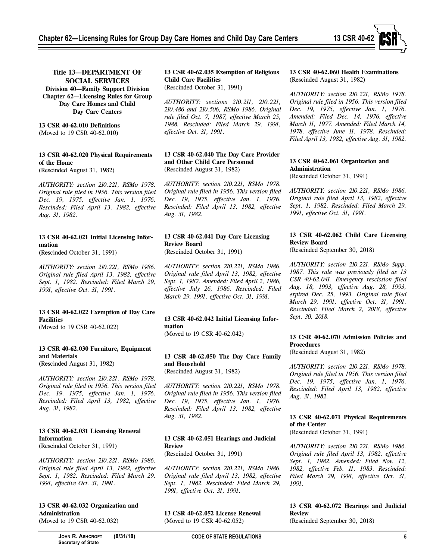

# **Title 13—DEPARTMENT OF SOCIAL SERVICES**

**Division 40—Family Support Division Chapter 62—Licensing Rules for Group Day Care Homes and Child Day Care Centers**

**13 CSR 40-62.010 Definitions** (Moved to 19 CSR 40-62.010)

# **13 CSR 40-62.020 Physical Requirements of the Home**

(Rescinded August 31, 1982)

*AUTHORITY: section 210.221, RSMo 1978. Original rule filed in 1956. This version filed Dec. 19, 1975, effective Jan. 1, 1976. Rescinded: Filed April 13, 1982, effective Aug. 31, 1982.*

# **13 CSR 40-62.021 Initial Licensing Information**

(Rescinded October 31, 1991)

*AUTHORITY: section 210.221, RSMo 1986. Original rule filed April 13, 1982, effective Sept. 1, 1982. Rescinded: Filed March 29, 1991, effective Oct. 31, 1991.*

#### **13 CSR 40-62.022 Exemption of Day Care Facilities**

(Moved to 19 CSR 40-62.022)

# **13 CSR 40-62.030 Furniture, Equipment and Materials**

(Rescinded August 31, 1982)

*AUTHORITY: section 210.221, RSMo 1978. Original rule filed in 1956. This version filed Dec. 19, 1975, effective Jan. 1, 1976. Rescinded: Filed April 13, 1982, effective Aug. 31, 1982.*

#### **13 CSR 40-62.031 Licensing Renewal Information**

(Rescinded October 31, 1991)

*AUTHORITY: section 210.221, RSMo 1986. Original rule filed April 13, 1982, effective Sept. 1, 1982. Rescinded: Filed March 29, 1991, effective Oct. 31, 1991.*

# **13 CSR 40-62.032 Organization and Administration**

(Moved to 19 CSR 40-62.032)

**13 CSR 40-62.035 Exemption of Religious Child Care Facilities** (Rescinded October 31, 1991)

*AUTHORITY: sections 210.211, 210.221, 210.486 and 210.506, RSMo 1986. Original rule filed Oct. 7, 1987, effective March 25, 1988. Rescinded: Filed March 29, 1991, effective Oct. 31, 1991.*

**13 CSR 40-62.040 The Day Care Provider and Other Child Care Personnel** (Rescinded August 31, 1982)

*AUTHORITY: section 210.221, RSMo 1978. Original rule filed in 1956. This version filed Dec. 19, 1975, effective Jan. 1, 1976. Rescinded: Filed April 13, 1982, effective Aug. 31, 1982.*

# **13 CSR 40-62.041 Day Care Licensing Review Board**

(Rescinded October 31, 1991)

*AUTHORITY: section 210.221, RSMo 1986. Original rule filed April 13, 1982, effective Sept. 1, 1982. Amended: Filed April 2, 1986, effective July 26, 1986. Rescinded: Filed March 29, 1991, effective Oct. 31, 1991.*

# **13 CSR 40-62.042 Initial Licensing Information**

(Moved to 19 CSR 40-62.042)

# **13 CSR 40-62.050 The Day Care Family and Household**

(Rescinded August 31, 1982)

*AUTHORITY: section 210.221, RSMo 1978. Original rule filed in 1956. This version filed Dec. 19, 1975, effective Jan. 1, 1976. Rescinded: Filed April 13, 1982, effective Aug. 31, 1982.*

#### **13 CSR 40-62.051 Hearings and Judicial Review**

(Rescinded October 31, 1991)

*AUTHORITY: section 210.221, RSMo 1986. Original rule filed April 13, 1982, effective Sept. 1, 1982. Rescinded: Filed March 29, 1991, effective Oct. 31, 1991.*

**13 CSR 40-62.052 License Renewal**  (Moved to 19 CSR 40-62.052)

#### **13 CSR 40-62.060 Health Examinations** (Rescinded August 31, 1982)

*AUTHORITY: section 210.221, RSMo 1978. Original rule filed in 1956. This version filed Dec. 19, 1975, effective Jan. 1, 1976. Amended: Filed Dec. 14, 1976, effective March 11, 1977. Amended: Filed March 14, 1978, effective June 11, 1978. Rescinded: Filed April 13, 1982, effective Aug. 31, 1982.*

#### **13 CSR 40-62.061 Organization and Administration** (Rescinded October 31, 1991)

*AUTHORITY: section 210.221, RSMo 1986. Original rule filed April 13, 1982, effective Sept. 1, 1982. Rescinded: Filed March 29, 1991, effective Oct. 31, 1991.*

# **13 CSR 40-62.062 Child Care Licensing Review Board**

(Rescinded September 30, 2018)

*AUTHORITY: section 210.221, RSMo Supp. 1987. This rule was previously filed as 13 CSR 40-62.041. Emergency rescission filed Aug. 18, 1993, effective Aug. 28, 1993, expired Dec. 25, 1993. Original rule filed March 29, 1991, effective Oct. 31, 1991. Rescinded: Filed March 2, 2018, effective Sept. 30, 2018.*

#### **13 CSR 40-62.070 Admission Policies and Procedures**

(Rescinded August 31, 1982)

*AUTHORITY: section 210.221, RSMo 1978. Original rule filed in 1956. This version filed Dec. 19, 1975, effective Jan. 1, 1976. Rescinded: Filed April 13, 1982, effective Aug. 31, 1982.*

#### **13 CSR 40-62.071 Physical Requirements of the Center**

(Rescinded October 31, 1991)

*AUTHORITY: section 210.221, RSMo 1986. Original rule filed April 13, 1982, effective Sept. 1, 1982. Amended: Filed Nov. 12, 1982, effective Feb. 11, 1983. Rescinded: Filed March 29, 1991, effective Oct. 31, 1991.*

#### **13 CSR 40-62.072 Hearings and Judicial Review**

(Rescinded September 30, 2018)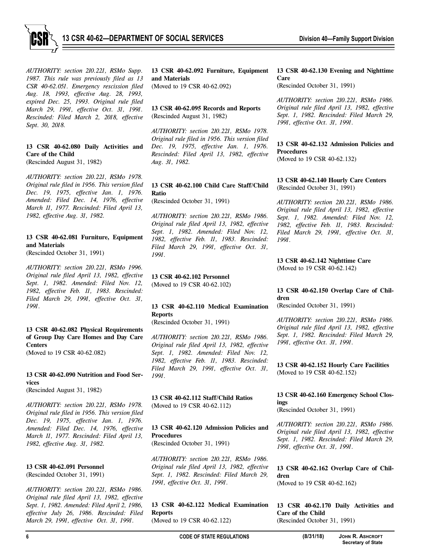

*AUTHORITY: section 210.221, RSMo Supp. 1987. This rule was previously filed as 13 CSR 40-62.051. Emergency rescission filed Aug. 18, 1993, effective Aug. 28, 1993, expired Dec. 25, 1993. Original rule filed March 29, 1991, effective Oct. 31, 1991. Rescinded: Filed March 2, 2018, effective Sept. 30, 2018.*

#### **13 CSR 40-62.080 Daily Activities and Care of the Child**

(Rescinded August 31, 1982)

*AUTHORITY: section 210.221, RSMo 1978. Original rule filed in 1956. This version filed Dec. 19, 1975, effective Jan. 1, 1976. Amended: Filed Dec. 14, 1976, effective March 11, 1977. Rescinded: Filed April 13, 1982, effective Aug. 31, 1982.*

# **13 CSR 40-62.081 Furniture, Equipment and Materials**

(Rescinded October 31, 1991)

*AUTHORITY: section 210.221, RSMo 1996. Original rule filed April 13, 1982, effective Sept. 1, 1982. Amended: Filed Nov. 12, 1982, effective Feb. 11, 1983. Rescinded: Filed March 29, 1991, effective Oct. 31, 1991.*

#### **13 CSR 40-62.082 Physical Requirements of Group Day Care Homes and Day Care Centers**

(Moved to 19 CSR 40-62.082)

#### **13 CSR 40-62.090 Nutrition and Food Services**

(Rescinded August 31, 1982)

*AUTHORITY: section 210.221, RSMo 1978. Original rule filed in 1956. This version filed Dec. 19, 1975, effective Jan. 1, 1976. Amended: Filed Dec. 14, 1976, effective March 11, 1977. Rescinded: Filed April 13, 1982, effective Aug. 31, 1982.*

#### **13 CSR 40-62.091 Personnel** (Rescinded October 31, 1991)

*AUTHORITY: section 210.221, RSMo 1986. Original rule filed April 13, 1982, effective Sept. 1, 1982. Amended: Filed April 2, 1986, effective July 26, 1986. Rescinded: Filed March 29, 1991, effective Oct. 31, 1991.*

**13 CSR 40-62.092 Furniture, Equipment and Materials**  (Moved to 19 CSR 40-62.092)

**13 CSR 40-62.095 Records and Reports** (Rescinded August 31, 1982)

*AUTHORITY: section 210.221, RSMo 1978. Original rule filed in 1956. This version filed Dec. 19, 1975, effective Jan. 1, 1976. Rescinded: Filed April 13, 1982, effective Aug. 31, 1982.*

# **13 CSR 40-62.100 Child Care Staff/Child Ratio**

(Rescinded October 31, 1991)

*AUTHORITY: section 210.221, RSMo 1986. Original rule filed April 13, 1982, effective Sept. 1, 1982. Amended: Filed Nov. 12, 1982, effective Feb. 11, 1983. Rescinded: Filed March 29, 1991, effective Oct. 31, 1991.*

# **13 CSR 40-62.102 Personnel**

(Moved to 19 CSR 40-62.102)

# **13 CSR 40-62.110 Medical Examination Reports**

(Rescinded October 31, 1991)

*AUTHORITY: section 210.221, RSMo 1986. Original rule filed April 13, 1982, effective Sept. 1, 1982. Amended: Filed Nov. 12, 1982, effective Feb. 11, 1983. Rescinded: Filed March 29, 1991, effective Oct. 31, 1991.*

**13 CSR 40-62.112 Staff/Child Ratios**  (Moved to 19 CSR 40-62.112)

# **13 CSR 40-62.120 Admission Policies and Procedures**

(Rescinded October 31, 1991)

*AUTHORITY: section 210.221, RSMo 1986. Original rule filed April 13, 1982, effective Sept. 1, 1982. Rescinded: Filed March 29, 1991, effective Oct. 31, 1991.*

**13 CSR 40-62.122 Medical Examination Reports**  (Moved to 19 CSR 40-62.122)

#### **13 CSR 40-62.130 Evening and Nighttime Care** (Rescinded October 31, 1991)

*AUTHORITY: section 210.221, RSMo 1986. Original rule filed April 13, 1982, effective Sept. 1, 1982. Rescinded: Filed March 29, 1991, effective Oct. 31, 1991.*

**13 CSR 40-62.132 Admission Policies and Procedures**  (Moved to 19 CSR 40-62.132)

#### **13 CSR 40-62.140 Hourly Care Centers** (Rescinded October 31, 1991)

*AUTHORITY: section 210.221, RSMo 1986. Original rule filed April 13, 1982, effective Sept. 1, 1982. Amended: Filed Nov. 12, 1982, effective Feb. 11, 1983. Rescinded: Filed March 29, 1991, effective Oct. 31, 1991.*

**13 CSR 40-62.142 Nighttime Care**  (Moved to 19 CSR 40-62.142)

#### **13 CSR 40-62.150 Overlap Care of Children**

(Rescinded October 31, 1991)

*AUTHORITY: section 210.221, RSMo 1986. Original rule filed April 13, 1982, effective Sept. 1, 1982. Rescinded: Filed March 29, 1991, effective Oct. 31, 1991.*

**13 CSR 40-62.152 Hourly Care Facilities**  (Moved to 19 CSR 40-62.152)

# **13 CSR 40-62.160 Emergency School Closings**

(Rescinded October 31, 1991)

*AUTHORITY: section 210.221, RSMo 1986. Original rule filed April 13, 1982, effective Sept. 1, 1982. Rescinded: Filed March 29, 1991, effective Oct. 31, 1991.*

**13 CSR 40-62.162 Overlap Care of Children**  (Moved to 19 CSR 40-62.162)

**13 CSR 40-62.170 Daily Activities and Care of the Child** (Rescinded October 31, 1991)